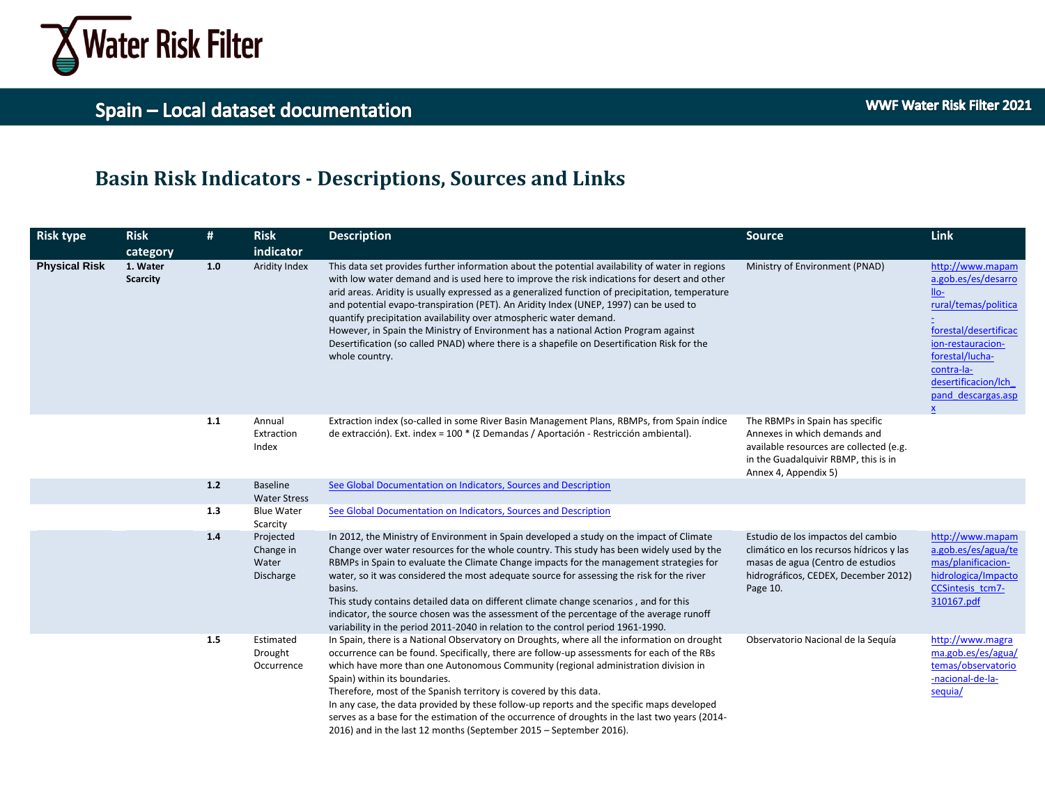

#### **Basin Risk Indicators - Descriptions, Sources and Links**

| <b>Risk type</b>     | <b>Risk</b>                 | #     | <b>Risk</b>                                  | <b>Description</b>                                                                                                                                                                                                                                                                                                                                                                                                                                                                                                                                                                                                                                                        | <b>Source</b>                                                                                                                                                              | Link                                                                                                                                                                                                                  |
|----------------------|-----------------------------|-------|----------------------------------------------|---------------------------------------------------------------------------------------------------------------------------------------------------------------------------------------------------------------------------------------------------------------------------------------------------------------------------------------------------------------------------------------------------------------------------------------------------------------------------------------------------------------------------------------------------------------------------------------------------------------------------------------------------------------------------|----------------------------------------------------------------------------------------------------------------------------------------------------------------------------|-----------------------------------------------------------------------------------------------------------------------------------------------------------------------------------------------------------------------|
|                      | category                    |       | indicator                                    |                                                                                                                                                                                                                                                                                                                                                                                                                                                                                                                                                                                                                                                                           |                                                                                                                                                                            |                                                                                                                                                                                                                       |
| <b>Physical Risk</b> | 1. Water<br><b>Scarcity</b> | 1.0   | Aridity Index                                | This data set provides further information about the potential availability of water in regions<br>with low water demand and is used here to improve the risk indications for desert and other<br>arid areas. Aridity is usually expressed as a generalized function of precipitation, temperature<br>and potential evapo-transpiration (PET). An Aridity Index (UNEP, 1997) can be used to<br>quantify precipitation availability over atmospheric water demand.<br>However, in Spain the Ministry of Environment has a national Action Program against<br>Desertification (so called PNAD) where there is a shapefile on Desertification Risk for the<br>whole country. | Ministry of Environment (PNAD)                                                                                                                                             | http://www.mapam<br>a.gob.es/es/desarro<br>$IIo-$<br>rural/temas/politica<br>forestal/desertificac<br>ion-restauracion-<br>forestal/lucha-<br>contra-la-<br>desertificacion/lch<br>pand descargas.asp<br>$\mathbf{x}$ |
|                      |                             | 1.1   | Annual<br>Extraction<br>Index                | Extraction index (so-called in some River Basin Management Plans, RBMPs, from Spain indice<br>de extracción). Ext. index = 100 * (Σ Demandas / Aportación - Restricción ambiental).                                                                                                                                                                                                                                                                                                                                                                                                                                                                                       | The RBMPs in Spain has specific<br>Annexes in which demands and<br>available resources are collected (e.g.<br>in the Guadalquivir RBMP, this is in<br>Annex 4, Appendix 5) |                                                                                                                                                                                                                       |
|                      |                             | $1.2$ | Baseline<br><b>Water Stress</b>              | See Global Documentation on Indicators, Sources and Description                                                                                                                                                                                                                                                                                                                                                                                                                                                                                                                                                                                                           |                                                                                                                                                                            |                                                                                                                                                                                                                       |
|                      |                             | 1.3   | <b>Blue Water</b><br>Scarcity                | See Global Documentation on Indicators, Sources and Description                                                                                                                                                                                                                                                                                                                                                                                                                                                                                                                                                                                                           |                                                                                                                                                                            |                                                                                                                                                                                                                       |
|                      |                             | 1.4   | Projected<br>Change in<br>Water<br>Discharge | In 2012, the Ministry of Environment in Spain developed a study on the impact of Climate<br>Change over water resources for the whole country. This study has been widely used by the<br>RBMPs in Spain to evaluate the Climate Change impacts for the management strategies for<br>water, so it was considered the most adequate source for assessing the risk for the river<br>basins.<br>This study contains detailed data on different climate change scenarios, and for this<br>indicator, the source chosen was the assessment of the percentage of the average runoff<br>variability in the period 2011-2040 in relation to the control period 1961-1990.          | Estudio de los impactos del cambio<br>climático en los recursos hídricos y las<br>masas de agua (Centro de estudios<br>hidrográficos, CEDEX, December 2012)<br>Page 10.    | http://www.mapam<br>a.gob.es/es/agua/te<br>mas/planificacion-<br>hidrologica/Impacto<br>CCSintesis tcm7-<br>310167.pdf                                                                                                |
|                      |                             | 1.5   | Estimated<br>Drought<br>Occurrence           | In Spain, there is a National Observatory on Droughts, where all the information on drought<br>occurrence can be found. Specifically, there are follow-up assessments for each of the RBs<br>which have more than one Autonomous Community (regional administration division in<br>Spain) within its boundaries.<br>Therefore, most of the Spanish territory is covered by this data.<br>In any case, the data provided by these follow-up reports and the specific maps developed<br>serves as a base for the estimation of the occurrence of droughts in the last two years (2014-<br>2016) and in the last 12 months (September 2015 - September 2016).                | Observatorio Nacional de la Seguía                                                                                                                                         | http://www.magra<br>ma.gob.es/es/agua/<br>temas/observatorio<br>-nacional-de-la-<br>sequia/                                                                                                                           |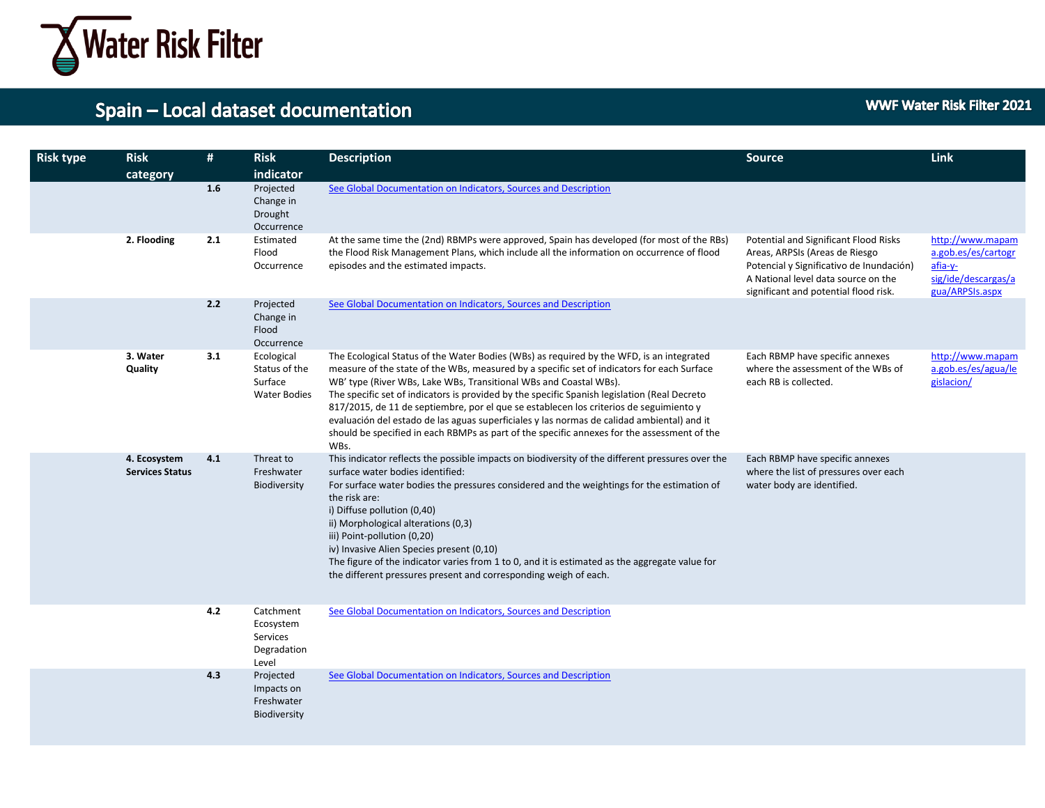

**WWF Water Risk Filter 2021** 

| <b>Risk type</b> | <b>Risk</b><br>category                | #   | <b>Risk</b><br>indicator                                      | <b>Description</b>                                                                                                                                                                                                                                                                                                                                                                                                                                                                                                                                                                                                                                         | <b>Source</b>                                                                                                                                                                                       | <b>Link</b>                                                                                  |
|------------------|----------------------------------------|-----|---------------------------------------------------------------|------------------------------------------------------------------------------------------------------------------------------------------------------------------------------------------------------------------------------------------------------------------------------------------------------------------------------------------------------------------------------------------------------------------------------------------------------------------------------------------------------------------------------------------------------------------------------------------------------------------------------------------------------------|-----------------------------------------------------------------------------------------------------------------------------------------------------------------------------------------------------|----------------------------------------------------------------------------------------------|
|                  |                                        | 1.6 | Projected<br>Change in<br>Drought<br>Occurrence               | See Global Documentation on Indicators, Sources and Description                                                                                                                                                                                                                                                                                                                                                                                                                                                                                                                                                                                            |                                                                                                                                                                                                     |                                                                                              |
|                  | 2. Flooding                            | 2.1 | Estimated<br>Flood<br>Occurrence                              | At the same time the (2nd) RBMPs were approved, Spain has developed (for most of the RBs)<br>the Flood Risk Management Plans, which include all the information on occurrence of flood<br>episodes and the estimated impacts.                                                                                                                                                                                                                                                                                                                                                                                                                              | Potential and Significant Flood Risks<br>Areas, ARPSIs (Areas de Riesgo<br>Potencial y Significativo de Inundación)<br>A National level data source on the<br>significant and potential flood risk. | http://www.mapam<br>a.gob.es/es/cartogr<br>afia-y-<br>sig/ide/descargas/a<br>gua/ARPSIs.aspx |
|                  |                                        | 2.2 | Projected<br>Change in<br>Flood<br>Occurrence                 | See Global Documentation on Indicators, Sources and Description                                                                                                                                                                                                                                                                                                                                                                                                                                                                                                                                                                                            |                                                                                                                                                                                                     |                                                                                              |
|                  | 3. Water<br>Quality                    | 3.1 | Ecological<br>Status of the<br>Surface<br><b>Water Bodies</b> | The Ecological Status of the Water Bodies (WBs) as required by the WFD, is an integrated<br>measure of the state of the WBs, measured by a specific set of indicators for each Surface<br>WB' type (River WBs, Lake WBs, Transitional WBs and Coastal WBs).<br>The specific set of indicators is provided by the specific Spanish legislation (Real Decreto<br>817/2015, de 11 de septiembre, por el que se establecen los criterios de seguimiento y<br>evaluación del estado de las aguas superficiales y las normas de calidad ambiental) and it<br>should be specified in each RBMPs as part of the specific annexes for the assessment of the<br>WBs. | Each RBMP have specific annexes<br>where the assessment of the WBs of<br>each RB is collected.                                                                                                      | http://www.mapam<br>a.gob.es/es/agua/le<br>gislacion/                                        |
|                  | 4. Ecosystem<br><b>Services Status</b> | 4.1 | Threat to<br>Freshwater<br>Biodiversity                       | This indicator reflects the possible impacts on biodiversity of the different pressures over the<br>surface water bodies identified:<br>For surface water bodies the pressures considered and the weightings for the estimation of<br>the risk are:<br>i) Diffuse pollution (0,40)<br>ii) Morphological alterations (0,3)<br>iii) Point-pollution (0,20)<br>iv) Invasive Alien Species present (0,10)<br>The figure of the indicator varies from 1 to 0, and it is estimated as the aggregate value for<br>the different pressures present and corresponding weigh of each.                                                                                | Each RBMP have specific annexes<br>where the list of pressures over each<br>water body are identified.                                                                                              |                                                                                              |
|                  |                                        | 4.2 | Catchment<br>Ecosystem<br>Services<br>Degradation<br>Level    | See Global Documentation on Indicators, Sources and Description                                                                                                                                                                                                                                                                                                                                                                                                                                                                                                                                                                                            |                                                                                                                                                                                                     |                                                                                              |
|                  |                                        | 4.3 | Projected<br>Impacts on<br>Freshwater<br>Biodiversity         | See Global Documentation on Indicators, Sources and Description                                                                                                                                                                                                                                                                                                                                                                                                                                                                                                                                                                                            |                                                                                                                                                                                                     |                                                                                              |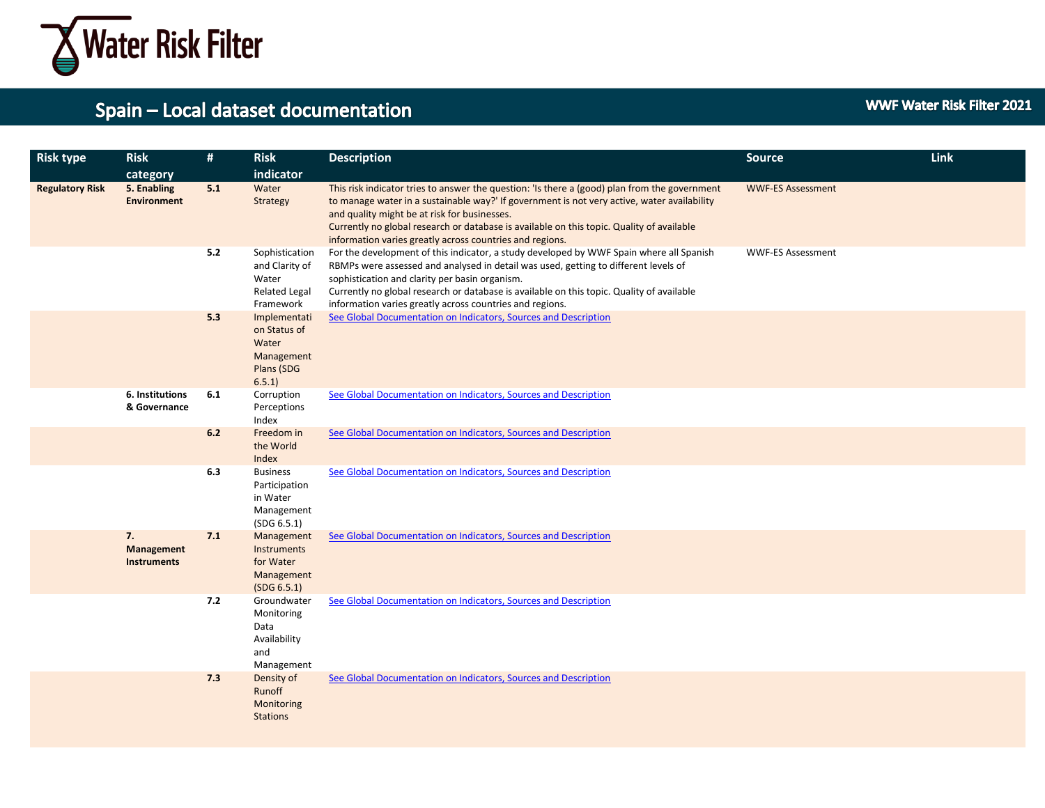

| <b>Risk type</b>       | <b>Risk</b><br>category                | #   | <b>Risk</b><br>indicator                                                       | <b>Description</b>                                                                                                                                                                                                                                                                                                                                                                                    | <b>Source</b>            | Link |
|------------------------|----------------------------------------|-----|--------------------------------------------------------------------------------|-------------------------------------------------------------------------------------------------------------------------------------------------------------------------------------------------------------------------------------------------------------------------------------------------------------------------------------------------------------------------------------------------------|--------------------------|------|
| <b>Regulatory Risk</b> | 5. Enabling<br><b>Environment</b>      | 5.1 | Water<br>Strategy                                                              | This risk indicator tries to answer the question: 'Is there a (good) plan from the government<br>to manage water in a sustainable way?' If government is not very active, water availability<br>and quality might be at risk for businesses.<br>Currently no global research or database is available on this topic. Quality of available<br>information varies greatly across countries and regions. | <b>WWF-ES Assessment</b> |      |
|                        |                                        | 5.2 | Sophistication<br>and Clarity of<br>Water<br><b>Related Legal</b><br>Framework | For the development of this indicator, a study developed by WWF Spain where all Spanish<br>RBMPs were assessed and analysed in detail was used, getting to different levels of<br>sophistication and clarity per basin organism.<br>Currently no global research or database is available on this topic. Quality of available<br>information varies greatly across countries and regions.             | <b>WWF-ES Assessment</b> |      |
|                        |                                        | 5.3 | Implementati<br>on Status of<br>Water<br>Management<br>Plans (SDG<br>6.5.1     | See Global Documentation on Indicators, Sources and Description                                                                                                                                                                                                                                                                                                                                       |                          |      |
|                        | 6. Institutions<br>& Governance        | 6.1 | Corruption<br>Perceptions<br>Index                                             | See Global Documentation on Indicators, Sources and Description                                                                                                                                                                                                                                                                                                                                       |                          |      |
|                        |                                        | 6.2 | Freedom in<br>the World<br>Index                                               | See Global Documentation on Indicators, Sources and Description                                                                                                                                                                                                                                                                                                                                       |                          |      |
|                        |                                        | 6.3 | <b>Business</b><br>Participation<br>in Water<br>Management<br>(SDG 6.5.1)      | See Global Documentation on Indicators, Sources and Description                                                                                                                                                                                                                                                                                                                                       |                          |      |
|                        | 7.<br>Management<br><b>Instruments</b> | 7.1 | Management<br><b>Instruments</b><br>for Water<br>Management<br>(SDG 6.5.1)     | See Global Documentation on Indicators, Sources and Description                                                                                                                                                                                                                                                                                                                                       |                          |      |
|                        |                                        | 7.2 | Groundwater<br>Monitoring<br>Data<br>Availability<br>and<br>Management         | See Global Documentation on Indicators, Sources and Description                                                                                                                                                                                                                                                                                                                                       |                          |      |
|                        |                                        | 7.3 | Density of<br>Runoff<br>Monitoring<br><b>Stations</b>                          | See Global Documentation on Indicators, Sources and Description                                                                                                                                                                                                                                                                                                                                       |                          |      |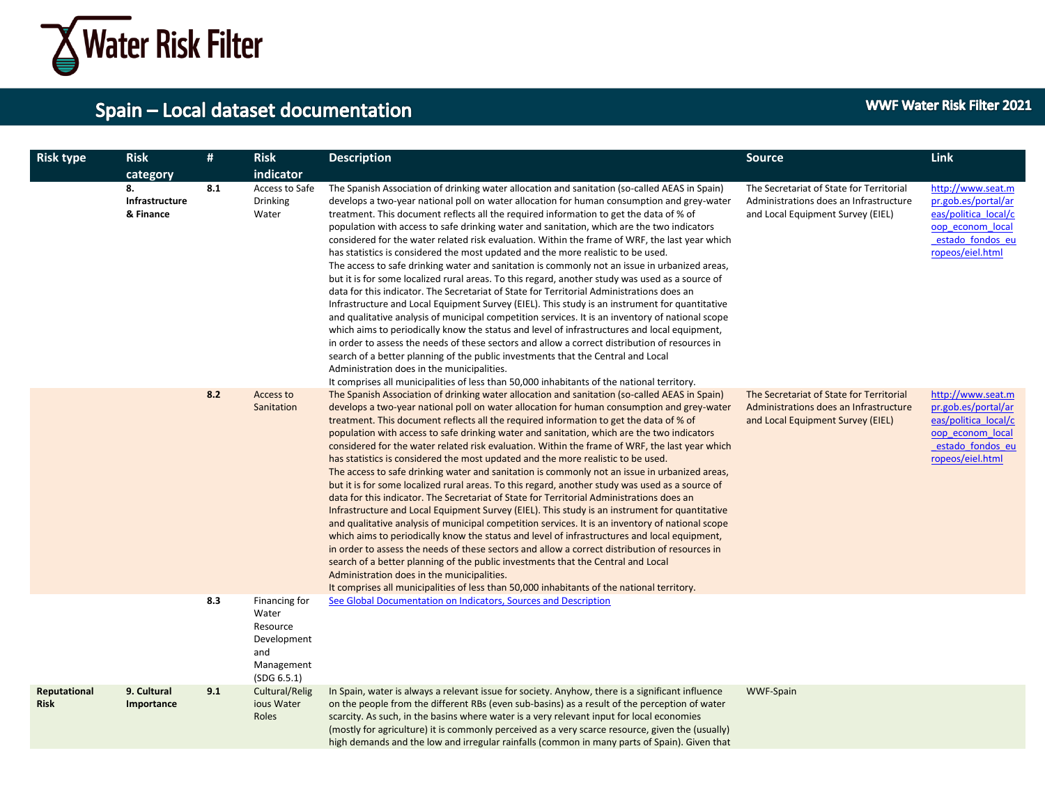

| <b>Risk type</b>            | <b>Risk</b><br>category           | #   | <b>Risk</b><br>indicator                                                              | <b>Description</b>                                                                                                                                                                                                                                                                                                                                                                                                                                                                                                                                                                                                                                                                                                                                                                                                                                                                                                                                                                                                                                                                                                                                                                                                                                                                                                                                                                                                                                                                                                 | <b>Source</b>                                                                                                           | Link                                                                                                                         |
|-----------------------------|-----------------------------------|-----|---------------------------------------------------------------------------------------|--------------------------------------------------------------------------------------------------------------------------------------------------------------------------------------------------------------------------------------------------------------------------------------------------------------------------------------------------------------------------------------------------------------------------------------------------------------------------------------------------------------------------------------------------------------------------------------------------------------------------------------------------------------------------------------------------------------------------------------------------------------------------------------------------------------------------------------------------------------------------------------------------------------------------------------------------------------------------------------------------------------------------------------------------------------------------------------------------------------------------------------------------------------------------------------------------------------------------------------------------------------------------------------------------------------------------------------------------------------------------------------------------------------------------------------------------------------------------------------------------------------------|-------------------------------------------------------------------------------------------------------------------------|------------------------------------------------------------------------------------------------------------------------------|
|                             | 8.<br>Infrastructure<br>& Finance | 8.1 | Access to Safe<br><b>Drinking</b><br>Water                                            | The Spanish Association of drinking water allocation and sanitation (so-called AEAS in Spain)<br>develops a two-year national poll on water allocation for human consumption and grey-water<br>treatment. This document reflects all the required information to get the data of % of<br>population with access to safe drinking water and sanitation, which are the two indicators<br>considered for the water related risk evaluation. Within the frame of WRF, the last year which<br>has statistics is considered the most updated and the more realistic to be used.<br>The access to safe drinking water and sanitation is commonly not an issue in urbanized areas,<br>but it is for some localized rural areas. To this regard, another study was used as a source of<br>data for this indicator. The Secretariat of State for Territorial Administrations does an<br>Infrastructure and Local Equipment Survey (EIEL). This study is an instrument for quantitative<br>and qualitative analysis of municipal competition services. It is an inventory of national scope<br>which aims to periodically know the status and level of infrastructures and local equipment,<br>in order to assess the needs of these sectors and allow a correct distribution of resources in<br>search of a better planning of the public investments that the Central and Local<br>Administration does in the municipalities.<br>It comprises all municipalities of less than 50,000 inhabitants of the national territory. | The Secretariat of State for Territorial<br>Administrations does an Infrastructure<br>and Local Equipment Survey (EIEL) | http://www.seat.m<br>pr.gob.es/portal/ar<br>eas/politica local/c<br>oop econom local<br>estado fondos eu<br>ropeos/eiel.html |
|                             |                                   | 8.2 | Access to<br>Sanitation                                                               | The Spanish Association of drinking water allocation and sanitation (so-called AEAS in Spain)<br>develops a two-year national poll on water allocation for human consumption and grey-water<br>treatment. This document reflects all the required information to get the data of % of<br>population with access to safe drinking water and sanitation, which are the two indicators<br>considered for the water related risk evaluation. Within the frame of WRF, the last year which<br>has statistics is considered the most updated and the more realistic to be used.<br>The access to safe drinking water and sanitation is commonly not an issue in urbanized areas,<br>but it is for some localized rural areas. To this regard, another study was used as a source of<br>data for this indicator. The Secretariat of State for Territorial Administrations does an<br>Infrastructure and Local Equipment Survey (EIEL). This study is an instrument for quantitative<br>and qualitative analysis of municipal competition services. It is an inventory of national scope<br>which aims to periodically know the status and level of infrastructures and local equipment,<br>in order to assess the needs of these sectors and allow a correct distribution of resources in<br>search of a better planning of the public investments that the Central and Local<br>Administration does in the municipalities.<br>It comprises all municipalities of less than 50,000 inhabitants of the national territory. | The Secretariat of State for Territorial<br>Administrations does an Infrastructure<br>and Local Equipment Survey (EIEL) | http://www.seat.m<br>pr.gob.es/portal/ar<br>eas/politica local/c<br>oop econom local<br>estado fondos eu<br>ropeos/eiel.html |
|                             |                                   | 8.3 | Financing for<br>Water<br>Resource<br>Development<br>and<br>Management<br>(SDG 6.5.1) | See Global Documentation on Indicators, Sources and Description                                                                                                                                                                                                                                                                                                                                                                                                                                                                                                                                                                                                                                                                                                                                                                                                                                                                                                                                                                                                                                                                                                                                                                                                                                                                                                                                                                                                                                                    |                                                                                                                         |                                                                                                                              |
| Reputational<br><b>Risk</b> | 9. Cultural<br>Importance         | 9.1 | Cultural/Relig<br>ious Water<br>Roles                                                 | In Spain, water is always a relevant issue for society. Anyhow, there is a significant influence<br>on the people from the different RBs (even sub-basins) as a result of the perception of water<br>scarcity. As such, in the basins where water is a very relevant input for local economies<br>(mostly for agriculture) it is commonly perceived as a very scarce resource, given the (usually)<br>high demands and the low and irregular rainfalls (common in many parts of Spain). Given that                                                                                                                                                                                                                                                                                                                                                                                                                                                                                                                                                                                                                                                                                                                                                                                                                                                                                                                                                                                                                 | <b>WWF-Spain</b>                                                                                                        |                                                                                                                              |